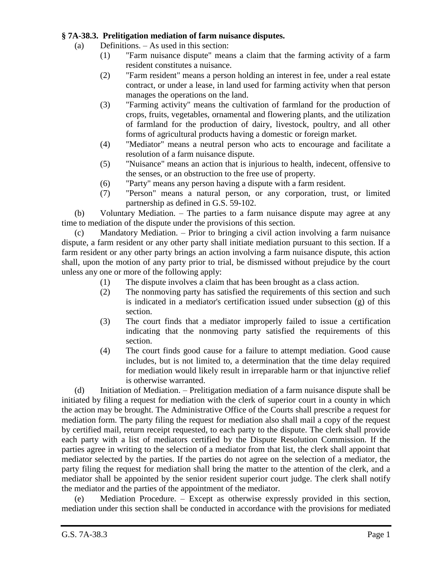## **§ 7A-38.3. Prelitigation mediation of farm nuisance disputes.**

(a) Definitions. – As used in this section:

- (1) "Farm nuisance dispute" means a claim that the farming activity of a farm resident constitutes a nuisance.
- (2) "Farm resident" means a person holding an interest in fee, under a real estate contract, or under a lease, in land used for farming activity when that person manages the operations on the land.
- (3) "Farming activity" means the cultivation of farmland for the production of crops, fruits, vegetables, ornamental and flowering plants, and the utilization of farmland for the production of dairy, livestock, poultry, and all other forms of agricultural products having a domestic or foreign market.
- (4) "Mediator" means a neutral person who acts to encourage and facilitate a resolution of a farm nuisance dispute.
- (5) "Nuisance" means an action that is injurious to health, indecent, offensive to the senses, or an obstruction to the free use of property.
- (6) "Party" means any person having a dispute with a farm resident.
- (7) "Person" means a natural person, or any corporation, trust, or limited partnership as defined in G.S. 59-102.

(b) Voluntary Mediation. – The parties to a farm nuisance dispute may agree at any time to mediation of the dispute under the provisions of this section.

(c) Mandatory Mediation. – Prior to bringing a civil action involving a farm nuisance dispute, a farm resident or any other party shall initiate mediation pursuant to this section. If a farm resident or any other party brings an action involving a farm nuisance dispute, this action shall, upon the motion of any party prior to trial, be dismissed without prejudice by the court unless any one or more of the following apply:

- (1) The dispute involves a claim that has been brought as a class action.
- (2) The nonmoving party has satisfied the requirements of this section and such is indicated in a mediator's certification issued under subsection (g) of this section.
- (3) The court finds that a mediator improperly failed to issue a certification indicating that the nonmoving party satisfied the requirements of this section.
- (4) The court finds good cause for a failure to attempt mediation. Good cause includes, but is not limited to, a determination that the time delay required for mediation would likely result in irreparable harm or that injunctive relief is otherwise warranted.

(d) Initiation of Mediation. – Prelitigation mediation of a farm nuisance dispute shall be initiated by filing a request for mediation with the clerk of superior court in a county in which the action may be brought. The Administrative Office of the Courts shall prescribe a request for mediation form. The party filing the request for mediation also shall mail a copy of the request by certified mail, return receipt requested, to each party to the dispute. The clerk shall provide each party with a list of mediators certified by the Dispute Resolution Commission. If the parties agree in writing to the selection of a mediator from that list, the clerk shall appoint that mediator selected by the parties. If the parties do not agree on the selection of a mediator, the party filing the request for mediation shall bring the matter to the attention of the clerk, and a mediator shall be appointed by the senior resident superior court judge. The clerk shall notify the mediator and the parties of the appointment of the mediator.

(e) Mediation Procedure. – Except as otherwise expressly provided in this section, mediation under this section shall be conducted in accordance with the provisions for mediated